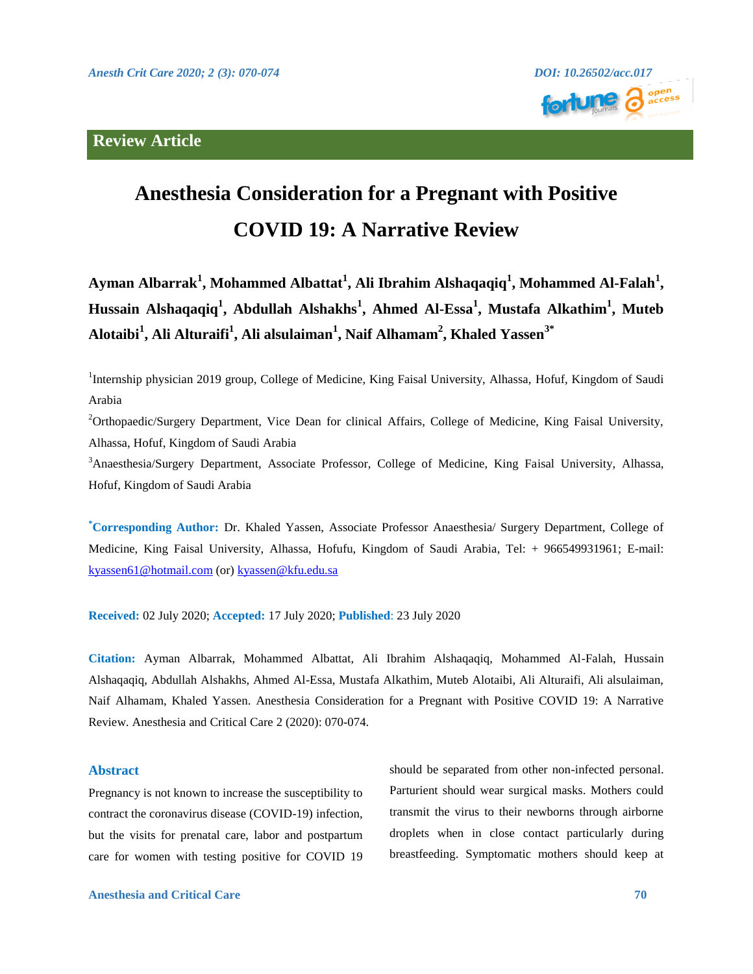## **Review Article**



# **Anesthesia Consideration for a Pregnant with Positive COVID 19: A Narrative Review**

**Ayman Albarrak<sup>1</sup> , Mohammed Albattat<sup>1</sup> , Ali Ibrahim Alshaqaqiq<sup>1</sup> , Mohammed Al-Falah<sup>1</sup> , Hussain Alshaqaqiq<sup>1</sup> , Abdullah Alshakhs<sup>1</sup> , Ahmed Al-Essa<sup>1</sup> , Mustafa Alkathim<sup>1</sup> , Muteb Alotaibi<sup>1</sup> , Ali Alturaifi<sup>1</sup> , Ali alsulaiman<sup>1</sup> , Naif Alhamam<sup>2</sup> , Khaled Yassen3\***

<sup>1</sup>Internship physician 2019 group, College of Medicine, King Faisal University, Alhassa, Hofuf, Kingdom of Saudi Arabia

<sup>2</sup>Orthopaedic/Surgery Department, Vice Dean for clinical Affairs, College of Medicine, King Faisal University, Alhassa, Hofuf, Kingdom of Saudi Arabia

<sup>3</sup>Anaesthesia/Surgery Department, Associate Professor, College of Medicine, King Faisal University, Alhassa, Hofuf, Kingdom of Saudi Arabia

**\*Corresponding Author:** Dr. Khaled Yassen, Associate Professor Anaesthesia/ Surgery Department, College of Medicine, King Faisal University, Alhassa, Hofufu, Kingdom of Saudi Arabia, Tel: + 966549931961; E-mail: [kyassen61@hotmail.com](mailto:kyassen61@hotmail.com) (or) [kyassen@kfu.edu.sa](mailto:kyassen@kfu.edu.sa)

**Received:** 02 July 2020; **Accepted:** 17 July 2020; **Published**: 23 July 2020

**Citation:** Ayman Albarrak, Mohammed Albattat, Ali Ibrahim Alshaqaqiq, Mohammed Al-Falah, Hussain Alshaqaqiq, Abdullah Alshakhs, Ahmed Al-Essa, Mustafa Alkathim, Muteb Alotaibi, Ali Alturaifi, Ali alsulaiman, Naif Alhamam, Khaled Yassen. Anesthesia Consideration for a Pregnant with Positive COVID 19: A Narrative Review. Anesthesia and Critical Care 2 (2020): 070-074.

### **Abstract**

Pregnancy is not known to increase the susceptibility to contract the coronavirus disease (COVID-19) infection, but the visits for prenatal care, labor and postpartum care for women with testing positive for COVID 19

should be separated from other non-infected personal. Parturient should wear surgical masks. Mothers could transmit the virus to their newborns through airborne droplets when in close contact particularly during breastfeeding. Symptomatic mothers should keep at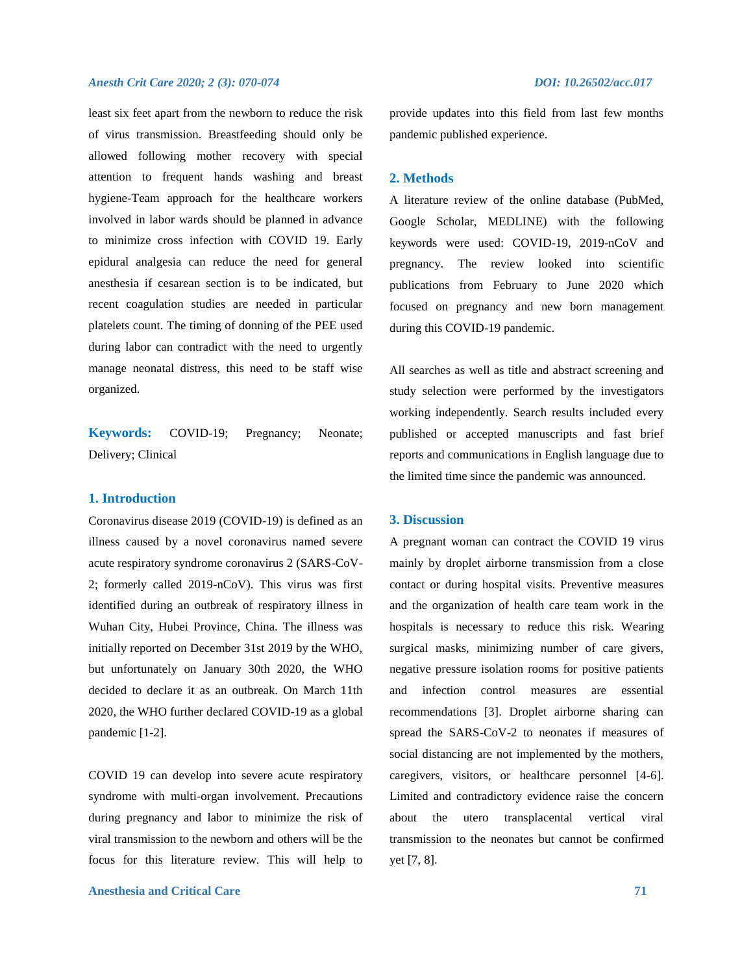least six feet apart from the newborn to reduce the risk of virus transmission. Breastfeeding should only be allowed following mother recovery with special attention to frequent hands washing and breast hygiene-Team approach for the healthcare workers involved in labor wards should be planned in advance to minimize cross infection with COVID 19. Early epidural analgesia can reduce the need for general anesthesia if cesarean section is to be indicated, but recent coagulation studies are needed in particular platelets count. The timing of donning of the PEE used during labor can contradict with the need to urgently manage neonatal distress, this need to be staff wise organized.

**Keywords:** COVID-19; Pregnancy; Neonate; Delivery; Clinical

### **1. Introduction**

Coronavirus disease 2019 (COVID-19) is defined as an illness caused by a novel coronavirus named severe acute respiratory syndrome coronavirus 2 (SARS-CoV-2; formerly called 2019-nCoV). This virus was first identified during an outbreak of respiratory illness in Wuhan City, Hubei Province, China. The illness was initially reported on December 31st 2019 by the WHO, but unfortunately on January 30th 2020, the WHO decided to declare it as an outbreak. On March 11th 2020, the WHO further declared COVID-19 as a global pandemic [1-2].

COVID 19 can develop into severe acute respiratory syndrome with multi-organ involvement. Precautions during pregnancy and labor to minimize the risk of viral transmission to the newborn and others will be the focus for this literature review. This will help to provide updates into this field from last few months pandemic published experience.

### **2. Methods**

A literature review of the online database (PubMed, Google Scholar, MEDLINE) with the following keywords were used: COVID-19, 2019-nCoV and pregnancy. The review looked into scientific publications from February to June 2020 which focused on pregnancy and new born management during this COVID-19 pandemic.

All searches as well as title and abstract screening and study selection were performed by the investigators working independently. Search results included every published or accepted manuscripts and fast brief reports and communications in English language due to the limited time since the pandemic was announced.

### **3. Discussion**

A pregnant woman can contract the COVID 19 virus mainly by droplet airborne transmission from a close contact or during hospital visits. Preventive measures and the organization of health care team work in the hospitals is necessary to reduce this risk. Wearing surgical masks, minimizing number of care givers, negative pressure isolation rooms for positive patients and infection control measures are essential recommendations [3]. Droplet airborne sharing can spread the SARS-CoV-2 to neonates if measures of social distancing are not implemented by the mothers, caregivers, visitors, or healthcare personnel [4-6]. Limited and contradictory evidence raise the concern about the utero transplacental vertical viral transmission to the neonates but cannot be confirmed yet [7, 8].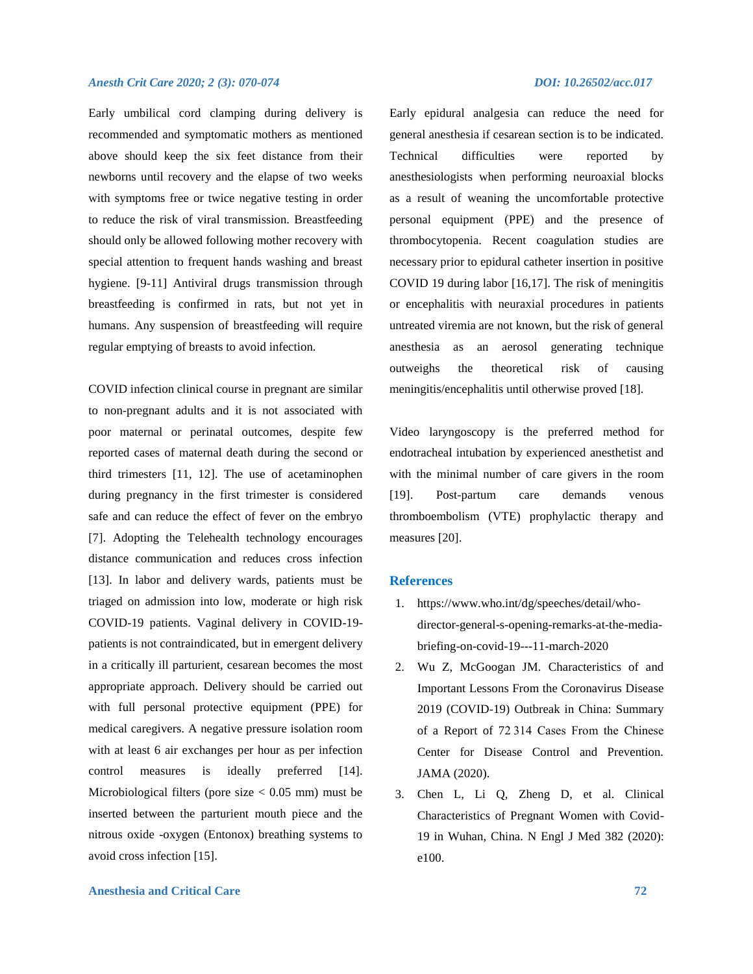Early umbilical cord clamping during delivery is recommended and symptomatic mothers as mentioned above should keep the six feet distance from their newborns until recovery and the elapse of two weeks with symptoms free or twice negative testing in order to reduce the risk of viral transmission. Breastfeeding should only be allowed following mother recovery with special attention to frequent hands washing and breast hygiene. [9-11] Antiviral drugs transmission through breastfeeding is confirmed in rats, but not yet in humans. Any suspension of breastfeeding will require regular emptying of breasts to avoid infection.

COVID infection clinical course in pregnant are similar to non-pregnant adults and it is not associated with poor maternal or perinatal outcomes, despite few reported cases of maternal death during the second or third trimesters [11, 12]. The use of acetaminophen during pregnancy in the first trimester is considered safe and can reduce the effect of fever on the embryo [7]. Adopting the Telehealth technology encourages distance communication and reduces cross infection [13]. In labor and delivery wards, patients must be triaged on admission into low, moderate or high risk COVID-19 patients. Vaginal delivery in COVID-19 patients is not contraindicated, but in emergent delivery in a critically ill parturient, cesarean becomes the most appropriate approach. Delivery should be carried out with full personal protective equipment (PPE) for medical caregivers. A negative pressure isolation room with at least 6 air exchanges per hour as per infection control measures is ideally preferred [14]. Microbiological filters (pore size  $< 0.05$  mm) must be inserted between the parturient mouth piece and the nitrous oxide -oxygen (Entonox) breathing systems to avoid cross infection [15].

Early epidural analgesia can reduce the need for general anesthesia if cesarean section is to be indicated. Technical difficulties were reported by anesthesiologists when performing neuroaxial blocks as a result of weaning the uncomfortable protective personal equipment (PPE) and the presence of thrombocytopenia. Recent coagulation studies are necessary prior to epidural catheter insertion in positive COVID 19 during labor [16,17]. The risk of meningitis or encephalitis with neuraxial procedures in patients untreated viremia are not known, but the risk of general anesthesia as an aerosol generating technique outweighs the theoretical risk of causing meningitis/encephalitis until otherwise proved [18].

Video laryngoscopy is the preferred method for endotracheal intubation by experienced anesthetist and with the minimal number of care givers in the room [19]. Post-partum care demands venous thromboembolism (VTE) prophylactic therapy and measures [20].

### **References**

- 1. https://www.who.int/dg/speeches/detail/whodirector-general-s-opening-remarks-at-the-mediabriefing-on-covid-19---11-march-2020
- 2. Wu Z, McGoogan JM. Characteristics of and Important Lessons From the Coronavirus Disease 2019 (COVID-19) Outbreak in China: Summary of a Report of 72 314 Cases From the Chinese Center for Disease Control and Prevention. JAMA (2020).
- 3. Chen L, Li Q, Zheng D, et al. Clinical Characteristics of Pregnant Women with Covid-19 in Wuhan, China. N Engl J Med 382 (2020): e100.

### **Anesthesia and Critical Care 72**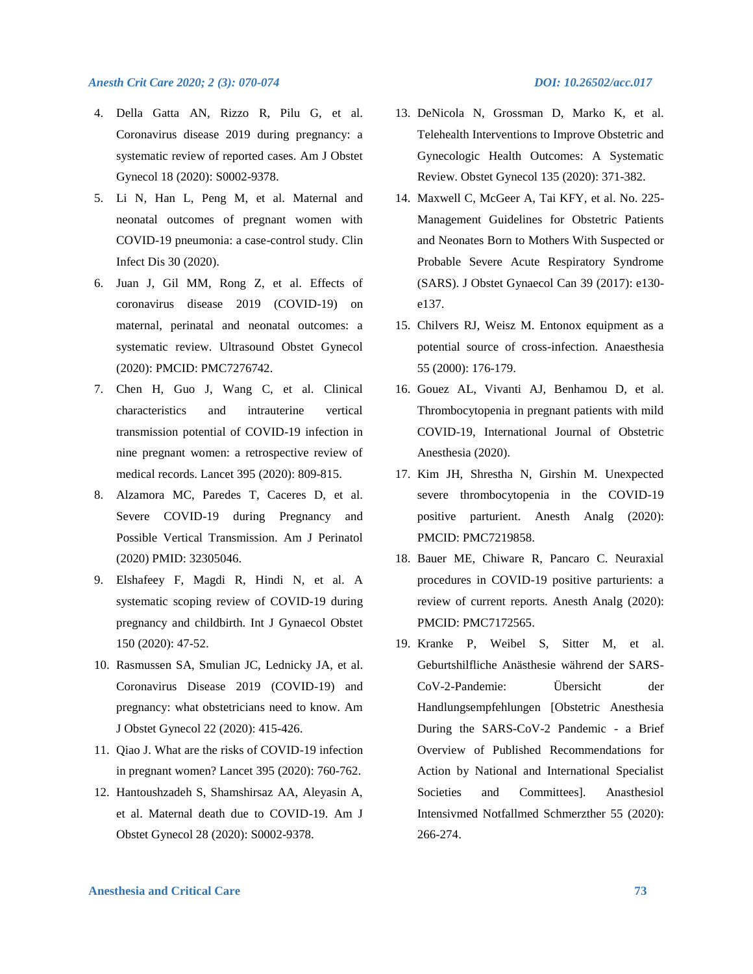- 4. Della Gatta AN, Rizzo R, Pilu G, et al. Coronavirus disease 2019 during pregnancy: a systematic review of reported cases. Am J Obstet Gynecol 18 (2020): S0002-9378.
- 5. Li N, Han L, Peng M, et al. Maternal and neonatal outcomes of pregnant women with COVID-19 pneumonia: a case-control study. Clin Infect Dis 30 (2020).
- 6. Juan J, Gil MM, Rong Z, et al. Effects of coronavirus disease 2019 (COVID-19) on maternal, perinatal and neonatal outcomes: a systematic review. Ultrasound Obstet Gynecol (2020): PMCID: PMC7276742.
- 7. Chen H, Guo J, Wang C, et al. Clinical characteristics and intrauterine vertical transmission potential of COVID-19 infection in nine pregnant women: a retrospective review of medical records. Lancet 395 (2020): 809-815.
- 8. Alzamora MC, Paredes T, Caceres D, et al. Severe COVID-19 during Pregnancy and Possible Vertical Transmission. Am J Perinatol (2020) PMID: 32305046.
- 9. Elshafeey F, Magdi R, Hindi N, et al. A systematic scoping review of COVID-19 during pregnancy and childbirth. Int J Gynaecol Obstet 150 (2020): 47-52.
- 10. Rasmussen SA, Smulian JC, Lednicky JA, et al. Coronavirus Disease 2019 (COVID-19) and pregnancy: what obstetricians need to know. Am J Obstet Gynecol 22 (2020): 415-426.
- 11. Qiao J. What are the risks of COVID-19 infection in pregnant women? Lancet 395 (2020): 760-762.
- 12. Hantoushzadeh S, Shamshirsaz AA, Aleyasin A, et al. Maternal death due to COVID-19. Am J Obstet Gynecol 28 (2020): S0002-9378.

- 13. DeNicola N, Grossman D, Marko K, et al. Telehealth Interventions to Improve Obstetric and Gynecologic Health Outcomes: A Systematic Review. Obstet Gynecol 135 (2020): 371-382.
- 14. Maxwell C, McGeer A, Tai KFY, et al. No. 225- Management Guidelines for Obstetric Patients and Neonates Born to Mothers With Suspected or Probable Severe Acute Respiratory Syndrome (SARS). J Obstet Gynaecol Can 39 (2017): e130 e137.
- 15. Chilvers RJ, Weisz M. Entonox equipment as a potential source of cross-infection. Anaesthesia 55 (2000): 176-179.
- 16. Gouez AL, Vivanti AJ, Benhamou D, et al. Thrombocytopenia in pregnant patients with mild COVID-19, International Journal of Obstetric Anesthesia (2020).
- 17. Kim JH, Shrestha N, Girshin M. Unexpected severe thrombocytopenia in the COVID-19 positive parturient. Anesth Analg (2020): PMCID: PMC7219858.
- 18. Bauer ME, Chiware R, Pancaro C. Neuraxial procedures in COVID-19 positive parturients: a review of current reports. Anesth Analg (2020): PMCID: PMC7172565.
- 19. Kranke P, Weibel S, Sitter M, et al. Geburtshilfliche Anästhesie während der SARS-CoV-2-Pandemie: Übersicht der Handlungsempfehlungen [Obstetric Anesthesia During the SARS-CoV-2 Pandemic - a Brief Overview of Published Recommendations for Action by National and International Specialist Societies and Committees]. Anasthesiol Intensivmed Notfallmed Schmerzther 55 (2020): 266-274.